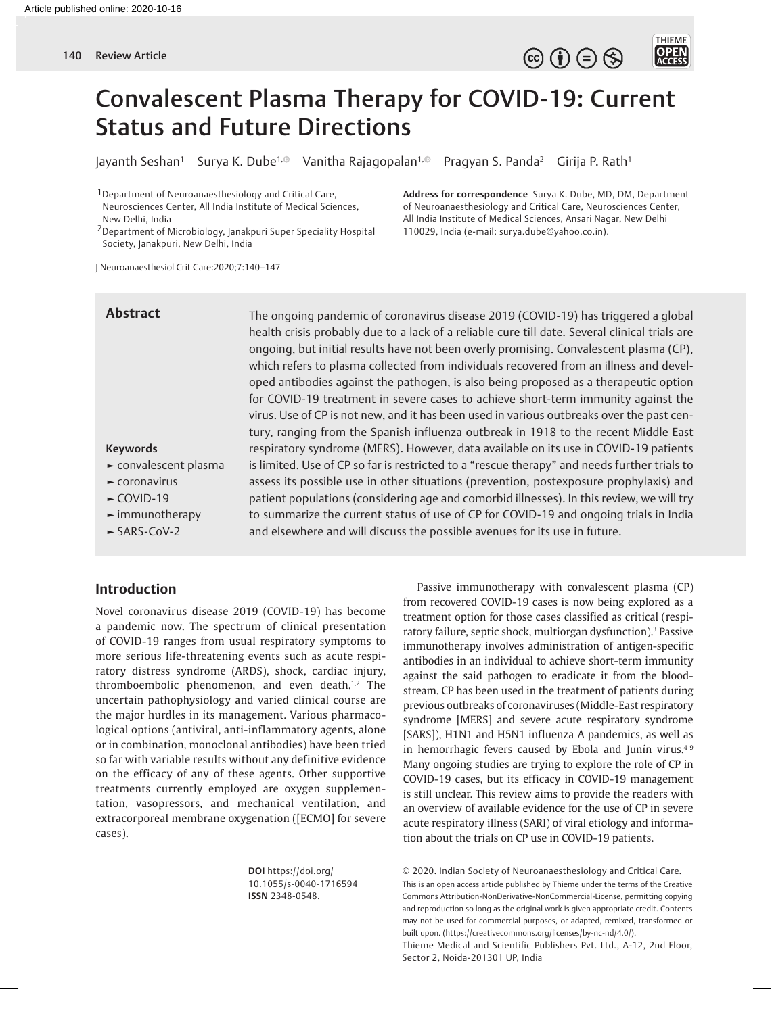# Convalescent Plasma Therapy for COVID-19: Current Status and Future Directions

Jayanth Seshan<sup>1</sup> Surya K. Dube<sup>1, ®</sup> Vanitha Rajagopalan<sup>1, ®</sup> Pragyan S. Panda<sup>2</sup> Girija P. Rath<sup>1</sup>

<sup>1</sup>Department of Neuroanaesthesiology and Critical Care, Neurosciences Center, All India Institute of Medical Sciences, New Delhi, India

2Department of Microbiology, Janakpuri Super Speciality Hospital Society, Janakpuri, New Delhi, India

J Neuroanaesthesiol Crit Care:2020;7:140–147

#### **Abstract**

**Keywords**

**►** coronavirus **►** COVID-19 **►** immunotherapy **►** SARS-CoV-2

**►** convalescent plasma

The ongoing pandemic of coronavirus disease 2019 (COVID-19) has triggered a global health crisis probably due to a lack of a reliable cure till date. Several clinical trials are ongoing, but initial results have not been overly promising. Convalescent plasma (CP), which refers to plasma collected from individuals recovered from an illness and developed antibodies against the pathogen, is also being proposed as a therapeutic option for COVID-19 treatment in severe cases to achieve short-term immunity against the virus. Use of CP is not new, and it has been used in various outbreaks over the past century, ranging from the Spanish influenza outbreak in 1918 to the recent Middle East respiratory syndrome (MERS). However, data available on its use in COVID-19 patients is limited. Use of CP so far is restricted to a "rescue therapy" and needs further trials to assess its possible use in other situations (prevention, postexposure prophylaxis) and patient populations (considering age and comorbid illnesses). In this review, we will try to summarize the current status of use of CP for COVID-19 and ongoing trials in India and elsewhere and will discuss the possible avenues for its use in future.

# **Introduction**

Novel coronavirus disease 2019 (COVID-19) has become a pandemic now. The spectrum of clinical presentation of COVID-19 ranges from usual respiratory symptoms to more serious life-threatening events such as acute respiratory distress syndrome (ARDS), shock, cardiac injury, thromboembolic phenomenon, and even death.1,2 The uncertain pathophysiology and varied clinical course are the major hurdles in its management. Various pharmacological options (antiviral, anti-inflammatory agents, alone or in combination, monoclonal antibodies) have been tried so far with variable results without any definitive evidence on the efficacy of any of these agents. Other supportive treatments currently employed are oxygen supplementation, vasopressors, and mechanical ventilation, and extracorporeal membrane oxygenation ([ECMO] for severe cases).

> **DOI** https://doi.org/ 10.1055/s-0040-1716594 **ISSN** 2348-0548.

Passive immunotherapy with convalescent plasma (CP) from recovered COVID-19 cases is now being explored as a treatment option for those cases classified as critical (respiratory failure, septic shock, multiorgan dysfunction).3 Passive immunotherapy involves administration of antigen-specific antibodies in an individual to achieve short-term immunity against the said pathogen to eradicate it from the bloodstream. CP has been used in the treatment of patients during previous outbreaks of coronaviruses (Middle-East respiratory syndrome [MERS] and severe acute respiratory syndrome [SARS]), H1N1 and H5N1 influenza A pandemics, as well as in hemorrhagic fevers caused by Ebola and Junín virus.<sup>4-9</sup> Many ongoing studies are trying to explore the role of CP in COVID-19 cases, but its efficacy in COVID-19 management is still unclear. This review aims to provide the readers with an overview of available evidence for the use of CP in severe acute respiratory illness (SARI) of viral etiology and information about the trials on CP use in COVID-19 patients.

© 2020. Indian Society of Neuroanaesthesiology and Critical Care. This is an open access article published by Thieme under the terms of the Creative Commons Attribution-NonDerivative-NonCommercial-License, permitting copying and reproduction so long as the original work is given appropriate credit. Contents may not be used for commercial purposes, or adapted, remixed, transformed or built upon. (https://creativecommons.org/licenses/by-nc-nd/4.0/).

Thieme Medical and Scientific Publishers Pvt. Ltd., A-12, 2nd Floor, Sector 2, Noida-201301 UP, India



**Address for correspondence** Surya K. Dube, MD, DM, Department of Neuroanaesthesiology and Critical Care, Neurosciences Center, All India Institute of Medical Sciences, Ansari Nagar, New Delhi

 $\circledcirc$   $\circledcirc$   $\circledcirc$ 

110029, India (e-mail: surya.dube@yahoo.co.in).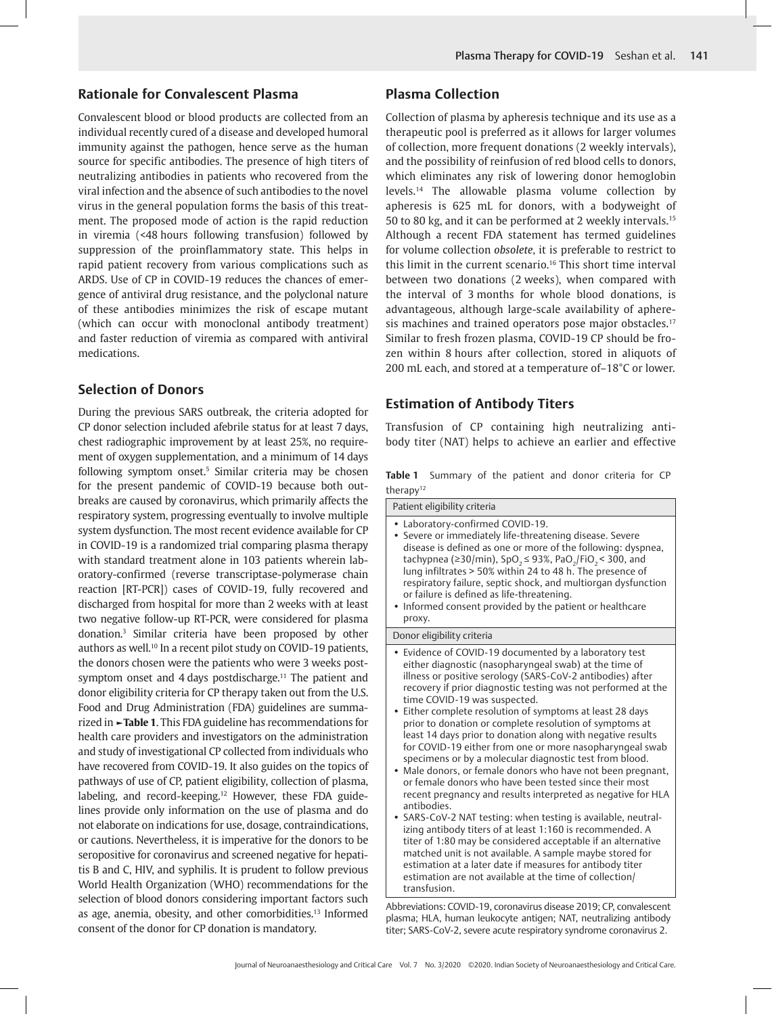# **Rationale for Convalescent Plasma**

Convalescent blood or blood products are collected from an individual recently cured of a disease and developed humoral immunity against the pathogen, hence serve as the human source for specific antibodies. The presence of high titers of neutralizing antibodies in patients who recovered from the viral infection and the absence of such antibodies to the novel virus in the general population forms the basis of this treatment. The proposed mode of action is the rapid reduction in viremia (<48 hours following transfusion) followed by suppression of the proinflammatory state. This helps in rapid patient recovery from various complications such as ARDS. Use of CP in COVID-19 reduces the chances of emergence of antiviral drug resistance, and the polyclonal nature of these antibodies minimizes the risk of escape mutant (which can occur with monoclonal antibody treatment) and faster reduction of viremia as compared with antiviral medications.

## **Selection of Donors**

During the previous SARS outbreak, the criteria adopted for CP donor selection included afebrile status for at least 7 days, chest radiographic improvement by at least 25%, no requirement of oxygen supplementation, and a minimum of 14 days following symptom onset.<sup>5</sup> Similar criteria may be chosen for the present pandemic of COVID-19 because both outbreaks are caused by coronavirus, which primarily affects the respiratory system, progressing eventually to involve multiple system dysfunction. The most recent evidence available for CP in COVID-19 is a randomized trial comparing plasma therapy with standard treatment alone in 103 patients wherein laboratory-confirmed (reverse transcriptase-polymerase chain reaction [RT-PCR]) cases of COVID-19, fully recovered and discharged from hospital for more than 2 weeks with at least two negative follow-up RT-PCR, were considered for plasma donation.3 Similar criteria have been proposed by other authors as well.10 In a recent pilot study on COVID-19 patients, the donors chosen were the patients who were 3 weeks postsymptom onset and 4 days postdischarge.<sup>11</sup> The patient and donor eligibility criteria for CP therapy taken out from the U.S. Food and Drug Administration (FDA) guidelines are summarized in **►Table 1**. This FDA guideline has recommendations for health care providers and investigators on the administration and study of investigational CP collected from individuals who have recovered from COVID-19. It also guides on the topics of pathways of use of CP, patient eligibility, collection of plasma, labeling, and record-keeping.12 However, these FDA guidelines provide only information on the use of plasma and do not elaborate on indications for use, dosage, contraindications, or cautions. Nevertheless, it is imperative for the donors to be seropositive for coronavirus and screened negative for hepatitis B and C, HIV, and syphilis. It is prudent to follow previous World Health Organization (WHO) recommendations for the selection of blood donors considering important factors such as age, anemia, obesity, and other comorbidities.13 Informed consent of the donor for CP donation is mandatory.

# **Plasma Collection**

Collection of plasma by apheresis technique and its use as a therapeutic pool is preferred as it allows for larger volumes of collection, more frequent donations (2 weekly intervals), and the possibility of reinfusion of red blood cells to donors, which eliminates any risk of lowering donor hemoglobin levels.14 The allowable plasma volume collection by apheresis is 625 mL for donors, with a bodyweight of 50 to 80 kg, and it can be performed at 2 weekly intervals.15 Although a recent FDA statement has termed guidelines for volume collection *obsolete*, it is preferable to restrict to this limit in the current scenario.<sup>16</sup> This short time interval between two donations (2 weeks), when compared with the interval of 3 months for whole blood donations, is advantageous, although large-scale availability of apheresis machines and trained operators pose major obstacles.<sup>17</sup> Similar to fresh frozen plasma, COVID-19 CP should be frozen within 8 hours after collection, stored in aliquots of 200 mL each, and stored at a temperature of–18°C or lower.

# **Estimation of Antibody Titers**

Transfusion of CP containing high neutralizing antibody titer (NAT) helps to achieve an earlier and effective

**Table 1** Summary of the patient and donor criteria for CP therapy<sup>12</sup>

| Patient eligibility criteria                                                                                                                                                                                                                                                                                                                                                                                                                                                                                                                                                                                                                                                                                                                                                                                                                                                                                                                                                                                                                                                                                                                                                                            |
|---------------------------------------------------------------------------------------------------------------------------------------------------------------------------------------------------------------------------------------------------------------------------------------------------------------------------------------------------------------------------------------------------------------------------------------------------------------------------------------------------------------------------------------------------------------------------------------------------------------------------------------------------------------------------------------------------------------------------------------------------------------------------------------------------------------------------------------------------------------------------------------------------------------------------------------------------------------------------------------------------------------------------------------------------------------------------------------------------------------------------------------------------------------------------------------------------------|
| • Laboratory-confirmed COVID-19.<br>• Severe or immediately life-threatening disease. Severe<br>disease is defined as one or more of the following: dyspnea,<br>tachypnea (≥30/min), SpO <sub>2</sub> ≤ 93%, PaO <sub>2</sub> /FiO <sub>2</sub> < 300, and<br>lung infiltrates > 50% within 24 to 48 h. The presence of<br>respiratory failure, septic shock, and multiorgan dysfunction<br>or failure is defined as life-threatening.<br>• Informed consent provided by the patient or healthcare<br>ргоху.                                                                                                                                                                                                                                                                                                                                                                                                                                                                                                                                                                                                                                                                                            |
| Donor eligibility criteria                                                                                                                                                                                                                                                                                                                                                                                                                                                                                                                                                                                                                                                                                                                                                                                                                                                                                                                                                                                                                                                                                                                                                                              |
| • Evidence of COVID-19 documented by a laboratory test<br>either diagnostic (nasopharyngeal swab) at the time of<br>illness or positive serology (SARS-CoV-2 antibodies) after<br>recovery if prior diagnostic testing was not performed at the<br>time COVID-19 was suspected.<br>• Either complete resolution of symptoms at least 28 days<br>prior to donation or complete resolution of symptoms at<br>least 14 days prior to donation along with negative results<br>for COVID-19 either from one or more nasopharyngeal swab<br>specimens or by a molecular diagnostic test from blood.<br>• Male donors, or female donors who have not been pregnant,<br>or female donors who have been tested since their most<br>recent pregnancy and results interpreted as negative for HLA<br>antibodies.<br>• SARS-CoV-2 NAT testing: when testing is available, neutral-<br>izing antibody titers of at least 1:160 is recommended. A<br>titer of 1:80 may be considered acceptable if an alternative<br>matched unit is not available. A sample maybe stored for<br>estimation at a later date if measures for antibody titer<br>estimation are not available at the time of collection/<br>transfusion. |

Abbreviations: COVID-19, coronavirus disease 2019; CP, convalescent plasma; HLA, human leukocyte antigen; NAT, neutralizing antibody titer; SARS-CoV-2, severe acute respiratory syndrome coronavirus 2.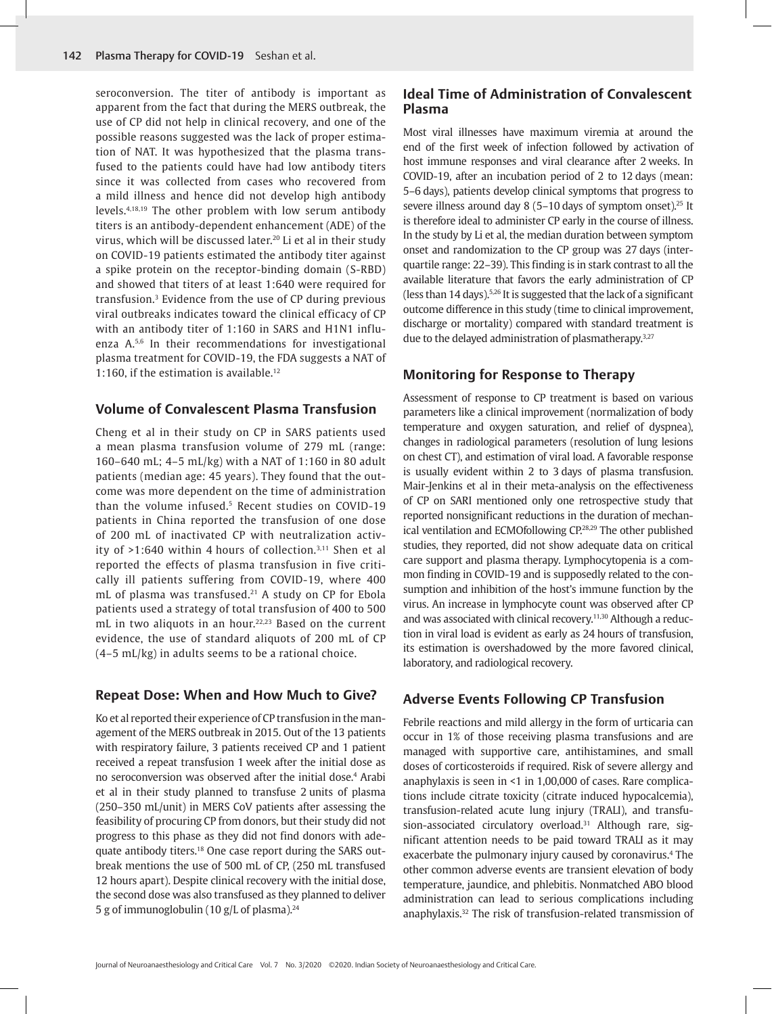seroconversion. The titer of antibody is important as apparent from the fact that during the MERS outbreak, the use of CP did not help in clinical recovery, and one of the possible reasons suggested was the lack of proper estimation of NAT. It was hypothesized that the plasma transfused to the patients could have had low antibody titers since it was collected from cases who recovered from a mild illness and hence did not develop high antibody levels.4,18,19 The other problem with low serum antibody titers is an antibody-dependent enhancement (ADE) of the virus, which will be discussed later.<sup>20</sup> Li et al in their study on COVID-19 patients estimated the antibody titer against a spike protein on the receptor-binding domain (S-RBD) and showed that titers of at least 1:640 were required for transfusion.3 Evidence from the use of CP during previous viral outbreaks indicates toward the clinical efficacy of CP with an antibody titer of 1:160 in SARS and H1N1 influenza A.5,6 In their recommendations for investigational plasma treatment for COVID-19, the FDA suggests a NAT of 1:160, if the estimation is available.12

### **Volume of Convalescent Plasma Transfusion**

Cheng et al in their study on CP in SARS patients used a mean plasma transfusion volume of 279 mL (range: 160–640 mL; 4–5 mL/kg) with a NAT of 1:160 in 80 adult patients (median age: 45 years). They found that the outcome was more dependent on the time of administration than the volume infused.5 Recent studies on COVID-19 patients in China reported the transfusion of one dose of 200 mL of inactivated CP with neutralization activity of >1:640 within 4 hours of collection.3,11 Shen et al reported the effects of plasma transfusion in five critically ill patients suffering from COVID-19, where 400 mL of plasma was transfused.<sup>21</sup> A study on CP for Ebola patients used a strategy of total transfusion of 400 to 500 mL in two aliquots in an hour.<sup>22,23</sup> Based on the current evidence, the use of standard aliquots of 200 mL of CP (4–5 mL/kg) in adults seems to be a rational choice.

#### **Repeat Dose: When and How Much to Give?**

Ko et al reported their experience of CP transfusion in the management of the MERS outbreak in 2015. Out of the 13 patients with respiratory failure, 3 patients received CP and 1 patient received a repeat transfusion 1 week after the initial dose as no seroconversion was observed after the initial dose.4 Arabi et al in their study planned to transfuse 2 units of plasma (250–350 mL/unit) in MERS CoV patients after assessing the feasibility of procuring CP from donors, but their study did not progress to this phase as they did not find donors with adequate antibody titers.18 One case report during the SARS outbreak mentions the use of 500 mL of CP, (250 mL transfused 12 hours apart). Despite clinical recovery with the initial dose, the second dose was also transfused as they planned to deliver 5 g of immunoglobulin (10 g/L of plasma).<sup>24</sup>

# **Ideal Time of Administration of Convalescent Plasma**

Most viral illnesses have maximum viremia at around the end of the first week of infection followed by activation of host immune responses and viral clearance after 2 weeks. In COVID-19, after an incubation period of 2 to 12 days (mean: 5–6 days), patients develop clinical symptoms that progress to severe illness around day 8 (5-10 days of symptom onset).<sup>25</sup> It is therefore ideal to administer CP early in the course of illness. In the study by Li et al, the median duration between symptom onset and randomization to the CP group was 27 days (interquartile range: 22–39). This finding is in stark contrast to all the available literature that favors the early administration of CP (less than 14 days).5,26 It is suggested that the lack of a significant outcome difference in this study (time to clinical improvement, discharge or mortality) compared with standard treatment is due to the delayed administration of plasmatherapy.<sup>3,27</sup>

## **Monitoring for Response to Therapy**

Assessment of response to CP treatment is based on various parameters like a clinical improvement (normalization of body temperature and oxygen saturation, and relief of dyspnea), changes in radiological parameters (resolution of lung lesions on chest CT), and estimation of viral load. A favorable response is usually evident within 2 to 3 days of plasma transfusion. Mair-Jenkins et al in their meta-analysis on the effectiveness of CP on SARI mentioned only one retrospective study that reported nonsignificant reductions in the duration of mechanical ventilation and ECMOfollowing CP.<sup>28,29</sup> The other published studies, they reported, did not show adequate data on critical care support and plasma therapy. Lymphocytopenia is a common finding in COVID-19 and is supposedly related to the consumption and inhibition of the host's immune function by the virus. An increase in lymphocyte count was observed after CP and was associated with clinical recovery.<sup>11,30</sup> Although a reduction in viral load is evident as early as 24 hours of transfusion, its estimation is overshadowed by the more favored clinical, laboratory, and radiological recovery.

# **Adverse Events Following CP Transfusion**

Febrile reactions and mild allergy in the form of urticaria can occur in 1% of those receiving plasma transfusions and are managed with supportive care, antihistamines, and small doses of corticosteroids if required. Risk of severe allergy and anaphylaxis is seen in <1 in 1,00,000 of cases. Rare complications include citrate toxicity (citrate induced hypocalcemia), transfusion-related acute lung injury (TRALI), and transfusion-associated circulatory overload.<sup>31</sup> Although rare, significant attention needs to be paid toward TRALI as it may exacerbate the pulmonary injury caused by coronavirus.<sup>4</sup> The other common adverse events are transient elevation of body temperature, jaundice, and phlebitis. Nonmatched ABO blood administration can lead to serious complications including anaphylaxis.32 The risk of transfusion-related transmission of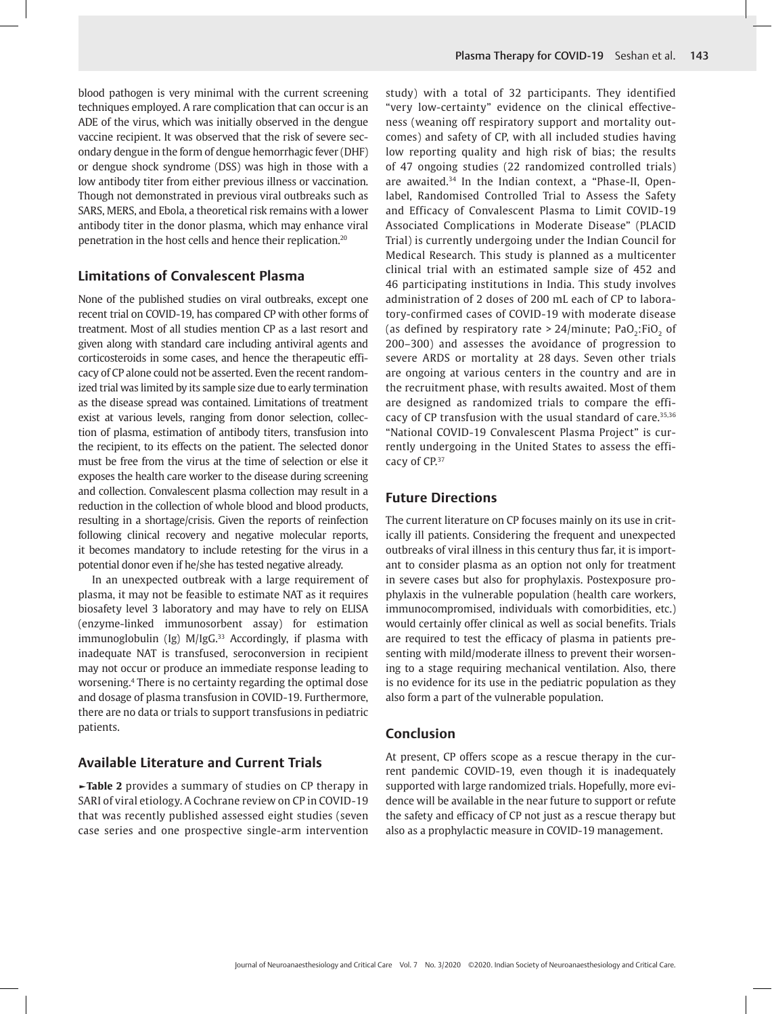blood pathogen is very minimal with the current screening techniques employed. A rare complication that can occur is an ADE of the virus, which was initially observed in the dengue vaccine recipient. It was observed that the risk of severe secondary dengue in the form of dengue hemorrhagic fever (DHF) or dengue shock syndrome (DSS) was high in those with a low antibody titer from either previous illness or vaccination. Though not demonstrated in previous viral outbreaks such as SARS, MERS, and Ebola, a theoretical risk remains with a lower antibody titer in the donor plasma, which may enhance viral penetration in the host cells and hence their replication.20

### **Limitations of Convalescent Plasma**

None of the published studies on viral outbreaks, except one recent trial on COVID-19, has compared CP with other forms of treatment. Most of all studies mention CP as a last resort and given along with standard care including antiviral agents and corticosteroids in some cases, and hence the therapeutic efficacy of CP alone could not be asserted. Even the recent randomized trial was limited by its sample size due to early termination as the disease spread was contained. Limitations of treatment exist at various levels, ranging from donor selection, collection of plasma, estimation of antibody titers, transfusion into the recipient, to its effects on the patient. The selected donor must be free from the virus at the time of selection or else it exposes the health care worker to the disease during screening and collection. Convalescent plasma collection may result in a reduction in the collection of whole blood and blood products, resulting in a shortage/crisis. Given the reports of reinfection following clinical recovery and negative molecular reports, it becomes mandatory to include retesting for the virus in a potential donor even if he/she has tested negative already.

In an unexpected outbreak with a large requirement of plasma, it may not be feasible to estimate NAT as it requires biosafety level 3 laboratory and may have to rely on ELISA (enzyme-linked immunosorbent assay) for estimation immunoglobulin (Ig) M/IgG.<sup>33</sup> Accordingly, if plasma with inadequate NAT is transfused, seroconversion in recipient may not occur or produce an immediate response leading to worsening.4 There is no certainty regarding the optimal dose and dosage of plasma transfusion in COVID-19. Furthermore, there are no data or trials to support transfusions in pediatric patients.

#### **Available Literature and Current Trials**

**►Table 2** provides a summary of studies on CP therapy in SARI of viral etiology. A Cochrane review on CP in COVID-19 that was recently published assessed eight studies (seven case series and one prospective single-arm intervention study) with a total of 32 participants. They identified "very low-certainty" evidence on the clinical effectiveness (weaning off respiratory support and mortality outcomes) and safety of CP, with all included studies having low reporting quality and high risk of bias; the results of 47 ongoing studies (22 randomized controlled trials) are awaited.34 In the Indian context, a "Phase-II, Openlabel, Randomised Controlled Trial to Assess the Safety and Efficacy of Convalescent Plasma to Limit COVID-19 Associated Complications in Moderate Disease" (PLACID Trial) is currently undergoing under the Indian Council for Medical Research. This study is planned as a multicenter clinical trial with an estimated sample size of 452 and 46 participating institutions in India. This study involves administration of 2 doses of 200 mL each of CP to laboratory-confirmed cases of COVID-19 with moderate disease (as defined by respiratory rate  $> 24$ /minute; PaO<sub>2</sub>:FiO<sub>2</sub> of 200–300) and assesses the avoidance of progression to severe ARDS or mortality at 28 days. Seven other trials are ongoing at various centers in the country and are in the recruitment phase, with results awaited. Most of them are designed as randomized trials to compare the efficacy of CP transfusion with the usual standard of care.<sup>35,36</sup> "National COVID-19 Convalescent Plasma Project" is currently undergoing in the United States to assess the efficacy of CP.37

### **Future Directions**

The current literature on CP focuses mainly on its use in critically ill patients. Considering the frequent and unexpected outbreaks of viral illness in this century thus far, it is important to consider plasma as an option not only for treatment in severe cases but also for prophylaxis. Postexposure prophylaxis in the vulnerable population (health care workers, immunocompromised, individuals with comorbidities, etc.) would certainly offer clinical as well as social benefits. Trials are required to test the efficacy of plasma in patients presenting with mild/moderate illness to prevent their worsening to a stage requiring mechanical ventilation. Also, there is no evidence for its use in the pediatric population as they also form a part of the vulnerable population.

### **Conclusion**

At present, CP offers scope as a rescue therapy in the current pandemic COVID-19, even though it is inadequately supported with large randomized trials. Hopefully, more evidence will be available in the near future to support or refute the safety and efficacy of CP not just as a rescue therapy but also as a prophylactic measure in COVID-19 management.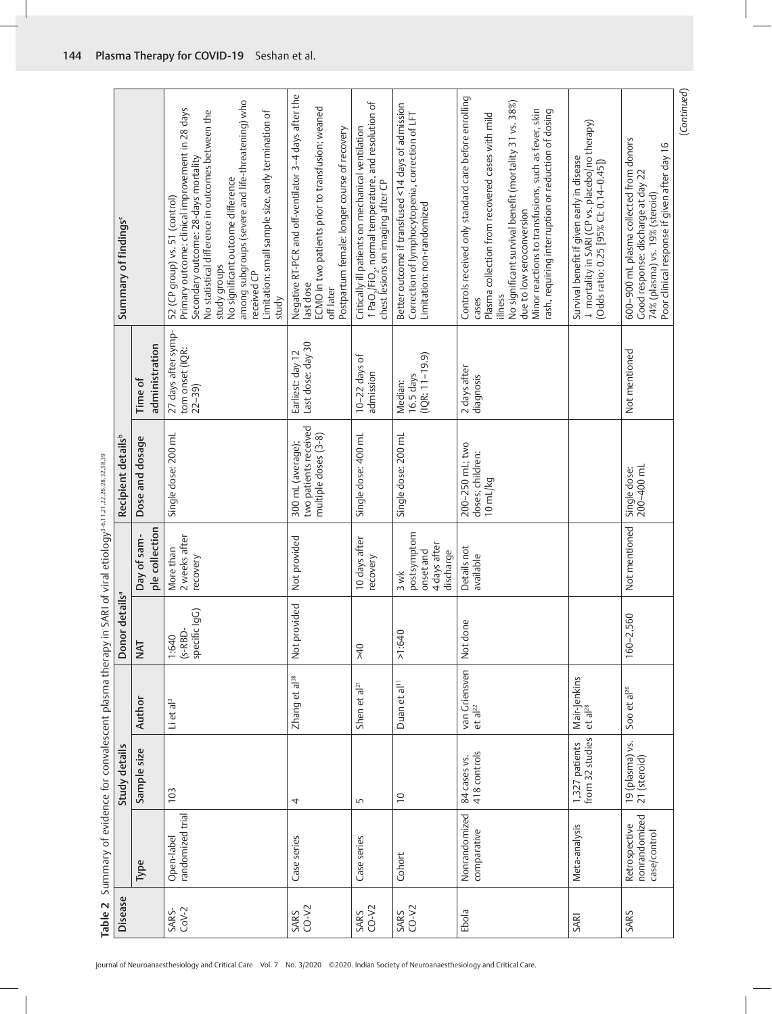|                                                                          | Summary of findings <sup>®</sup> |                               | among subgroups (severe and life-threatening) who<br>Primary outcome: clinical improvement in 28 days<br>No statistical difference in outcomes between the<br>Limitation: small sample size, early termination of<br>Secondary outcome: 28-days mortality<br>No significant outcome difference<br>52 (CP group) vs. 51 (control)<br>study groups<br>received CP<br>study | Negative RT-PCR and off-ventilator 3-4 days after the<br>ECMO in two patients prior to transfusion; weaned<br>Postpartum female: longer course of recovery<br>last dose<br>off later | $\uparrow$ PaO <sub>2</sub> /FiO <sub>2</sub> , normal temperature, and resolution of<br>Critically ill patients on mechanical ventilation<br>chest lesions on imaging after CP | Better outcome if transfused <14 days of admission<br>Correction of lymphocytopenia, correction of LFT<br>Limitation: non-randomized | Controls received only standard care before enrolling<br>No significant survival benefit (mortality 31 vs. 38%)<br>Minor reactions to transfusions, such as fever, skin<br>rash, requiring interruption or reduction of dosing<br>Plasma collection from recovered cases with mild<br>due to low seroconversion<br>illness<br>cases | ↓ mortality in SARI (CP vs. placebo/no therapy)<br>Survival benefit if given early in disease<br>(Odds ratio: 0.25 [95% CI: 0.14-0.45]) | (Continued)<br>600-900 mL plasma collected from donors<br>Poor clinical response if given after day 16<br>Good response: discharge at day 22<br>74% (plasma) vs. 19% (steroid) |
|--------------------------------------------------------------------------|----------------------------------|-------------------------------|--------------------------------------------------------------------------------------------------------------------------------------------------------------------------------------------------------------------------------------------------------------------------------------------------------------------------------------------------------------------------|--------------------------------------------------------------------------------------------------------------------------------------------------------------------------------------|---------------------------------------------------------------------------------------------------------------------------------------------------------------------------------|--------------------------------------------------------------------------------------------------------------------------------------|-------------------------------------------------------------------------------------------------------------------------------------------------------------------------------------------------------------------------------------------------------------------------------------------------------------------------------------|-----------------------------------------------------------------------------------------------------------------------------------------|--------------------------------------------------------------------------------------------------------------------------------------------------------------------------------|
|                                                                          |                                  | administration<br>Time of     | 27 days after symp-<br>tom onset (IQR:<br>$22 - 39$                                                                                                                                                                                                                                                                                                                      | Last dose: day 30<br>Earliest: day 12                                                                                                                                                | $10-22$ days of<br>admission                                                                                                                                                    | $(1QR: 11-19.9)$<br>16.5 days<br>Median:                                                                                             | 2 days after<br>diagnosis                                                                                                                                                                                                                                                                                                           |                                                                                                                                         | Not mentioned                                                                                                                                                                  |
|                                                                          | Recipient details <sup>b</sup>   | Dose and dosage               | Single dose: 200 mL                                                                                                                                                                                                                                                                                                                                                      | two patients received<br>multiple doses (3-8)<br>300 mL (average);                                                                                                                   | Single dose: 400 mL                                                                                                                                                             | Single dose: 200 mL                                                                                                                  | 200-250 mL; two<br>doses; children:<br>$10$ mL/kg                                                                                                                                                                                                                                                                                   |                                                                                                                                         | Single dose:<br>200-400 mL                                                                                                                                                     |
| in SARI of viral etiology <sup>3-6, 11, 21, 22, 26, 28, 32, 38, 39</sup> |                                  | ple collection<br>Day of sam- | 2 weeks after<br>More than<br>recovery                                                                                                                                                                                                                                                                                                                                   | Not provided                                                                                                                                                                         | 10 days after<br>recovery                                                                                                                                                       | postsymptom<br>4 days after<br>onset and<br>discharge<br>3 wk                                                                        | Details not<br>available                                                                                                                                                                                                                                                                                                            |                                                                                                                                         | Not mentioned                                                                                                                                                                  |
|                                                                          | or details <sup>a</sup><br>Don   | <b>NAT</b>                    | specific IgG)<br>(s-RBD-<br>1:640                                                                                                                                                                                                                                                                                                                                        | provided<br>Not                                                                                                                                                                      | $\overline{5}$                                                                                                                                                                  | >1:640                                                                                                                               | Not done                                                                                                                                                                                                                                                                                                                            |                                                                                                                                         | $-2,560$<br>160-                                                                                                                                                               |
|                                                                          |                                  | Author                        | Li et al <sup>3</sup>                                                                                                                                                                                                                                                                                                                                                    | Zhang et al <sup>38</sup>                                                                                                                                                            | Shen et al <sup>21</sup>                                                                                                                                                        | Duan et al <sup>11</sup>                                                                                                             | van Griensven<br>et al <sup>22</sup>                                                                                                                                                                                                                                                                                                | Mair-Jenkins<br>et al <sup>28</sup>                                                                                                     | Soo et al <sup>26</sup>                                                                                                                                                        |
|                                                                          | Study details                    | Sample size                   | 103                                                                                                                                                                                                                                                                                                                                                                      | 4                                                                                                                                                                                    | 5                                                                                                                                                                               | $\supseteq$                                                                                                                          | 418 controls<br>84 cases vs.                                                                                                                                                                                                                                                                                                        | 1,327 patients<br>from 32 studies                                                                                                       | 19 (plasma) vs.<br>21 (steroid)                                                                                                                                                |
| Table 2 Summary of evidence for convalescent plasma therapy              |                                  | Type                          | randomized trial<br>Open-label                                                                                                                                                                                                                                                                                                                                           | Case series                                                                                                                                                                          | Case series                                                                                                                                                                     | Cohort                                                                                                                               | Nonrandomized<br>comparative                                                                                                                                                                                                                                                                                                        | Meta-analysis                                                                                                                           | nonrandomized<br>Retrospective<br>case/control                                                                                                                                 |
|                                                                          | <b>Disease</b>                   |                               | SARS-<br>CoV-2                                                                                                                                                                                                                                                                                                                                                           | SARS<br>CO-V2                                                                                                                                                                        | SARS<br>CO-V2                                                                                                                                                                   | SARS<br>CO-V2                                                                                                                        | Ebola                                                                                                                                                                                                                                                                                                                               | SARI                                                                                                                                    | SARS                                                                                                                                                                           |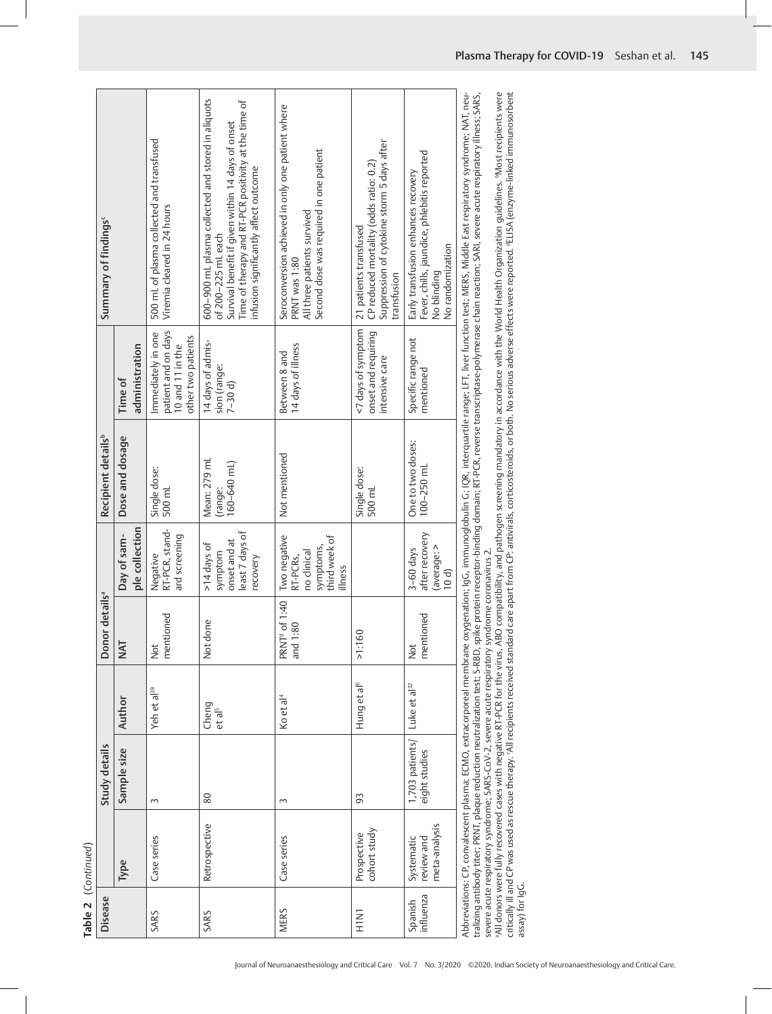| Table 2 (Continued)           |                                                                                                 |                                  |                             |                                               |                                                                                 |                                        |                                                                                     |                                                                                                                                                                                                                                                                                                                                                                                                                                                                                                                                                                                                                                                                                                                                                                                                                                                                                                 |
|-------------------------------|-------------------------------------------------------------------------------------------------|----------------------------------|-----------------------------|-----------------------------------------------|---------------------------------------------------------------------------------|----------------------------------------|-------------------------------------------------------------------------------------|-------------------------------------------------------------------------------------------------------------------------------------------------------------------------------------------------------------------------------------------------------------------------------------------------------------------------------------------------------------------------------------------------------------------------------------------------------------------------------------------------------------------------------------------------------------------------------------------------------------------------------------------------------------------------------------------------------------------------------------------------------------------------------------------------------------------------------------------------------------------------------------------------|
| Disease                       |                                                                                                 | Study details                    |                             | Donor details <sup>a</sup>                    |                                                                                 | Recipient details <sup>b</sup>         |                                                                                     | Summary of findings <sup>®</sup>                                                                                                                                                                                                                                                                                                                                                                                                                                                                                                                                                                                                                                                                                                                                                                                                                                                                |
|                               | Type                                                                                            | Sample size                      | Author                      | TAIN                                          | ple collection<br>Day of sam-                                                   | Dose and dosage                        | administration<br>Time of                                                           |                                                                                                                                                                                                                                                                                                                                                                                                                                                                                                                                                                                                                                                                                                                                                                                                                                                                                                 |
| <b>SARS</b>                   | Case series                                                                                     | $\sim$                           | Yeh et al <sup>39</sup>     | mentioned<br><b>b</b>                         | RT-PCR, stand-<br>ard screening<br>Negative                                     | Single dose:<br>500 mL                 | patient and on days<br>Immediately in one<br>other two patients<br>10 and 11 in the | 500 mL of plasma collected and transfused<br>Viremia cleared in 24 hours                                                                                                                                                                                                                                                                                                                                                                                                                                                                                                                                                                                                                                                                                                                                                                                                                        |
| <b>SARS</b>                   | Retrospective                                                                                   | 80                               | Cheng<br>et al <sup>5</sup> | done<br><b>Not</b>                            | least 7 days of<br>onset and at<br>$>14$ days of<br>symptom<br>recovery         | Mean: 279 mL<br>160-640 mL)<br>(range: | 14 days of admis-<br>sion (range:<br>$7 - 30 d$                                     | 600-900 mL plasma collected and stored in aliquots<br>Time of therapy and RT-PCR positivity at the time of<br>Survival benefit if given within 14 days of onset<br>infusion significantly affect outcome<br>of 200-225 mL each                                                                                                                                                                                                                                                                                                                                                                                                                                                                                                                                                                                                                                                                  |
| <b>MERS</b>                   | Case series                                                                                     | 3                                | Ko et al <sup>4</sup>       | PRNT <sup>d</sup> of 1:40<br>1.80<br>pue<br>F | Two negative<br>third week of<br>symptoms,<br>no dinical<br>RT-PCRs,<br>illness | Not mentioned                          | 14 days of illness<br>Between 8 and                                                 | Seroconversion achieved in only one patient where<br>Second dose was required in one patient<br>All three patients survived<br>PRNT was 1:80                                                                                                                                                                                                                                                                                                                                                                                                                                                                                                                                                                                                                                                                                                                                                    |
| H <sub>1</sub> N <sub>1</sub> | cohort study<br>Prospective                                                                     | 93                               | Hung et al <sup>6</sup>     | 60<br>$\frac{1}{2}$                           |                                                                                 | Single dose:<br>500 mL                 | <7 days of symptom<br>onset and requiring<br>intensive care                         | Suppression of cytokine storm 5 days after<br>CP reduced mortality (odds ratio: 0.2)<br>21 patients transfused<br>transfusion                                                                                                                                                                                                                                                                                                                                                                                                                                                                                                                                                                                                                                                                                                                                                                   |
| influenza<br>Spanish          | meta-analysis<br>Systematic<br>review and                                                       | 1,703 patients/<br>eight studies | Luke et al <sup>32</sup>    | mentioned<br><b>b</b>                         | after recovery<br>(average: ><br>3-60 days<br>10d                               | One to two doses:<br>$100 - 250$ ml    | Specific range not<br>mentioned                                                     | Fever, chills, jaundice, phlebitis reported<br>Early transfusion enhances recovery<br>No randomization<br>No blinding                                                                                                                                                                                                                                                                                                                                                                                                                                                                                                                                                                                                                                                                                                                                                                           |
| assay) for IgG.               | severe acute respiratory syndrome; SARS-CoV-2, severe acute respiratory syndrome coronavirus 2. |                                  |                             |                                               |                                                                                 |                                        |                                                                                     | All donors were fully recovered cases with negative RT-PCR for the virus, ABO compatibility, and pathogen screening mandatory in accordance with the World Health Organization guidelines. "Most recipients were<br>critically ill and CP was used as rescue therapy. 'All recipients received standard care apart from CP: antivirals, corticosteroids, or both. No serious adverse effects were reported. "EUSA (enzyme-linked immunosorbent<br>Abbreviations: CP, convalescent plasma; ECMO, extracorporeal membrane oxygenation; IgG, immunoglobulin G; IQR, interquartile range; LFT, liver function test; MERS, Middle East respiratory syndrome; NAT, neu-<br>tralizing antibody titer; PRNT, plaque reduction neutralization test; S-RBD, spike protein receptor-binding domain; RT-PCR, reverse transcriptase-polymerase chain reaction; SARI, severe acute respiratory illness; SARS, |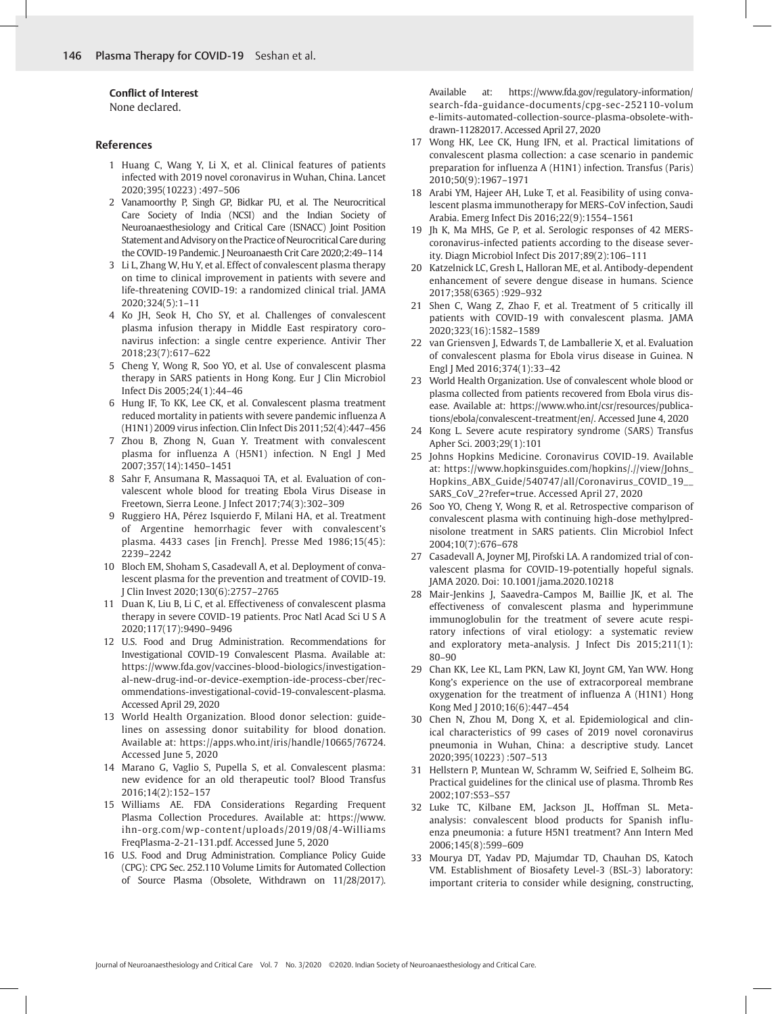#### **Conflict of Interest**

None declared.

#### **References**

- 1 Huang C, Wang Y, Li X, et al. Clinical features of patients infected with 2019 novel coronavirus in Wuhan, China. Lancet 2020;395(10223) :497–506
- 2 Vanamoorthy P, Singh GP, Bidkar PU, et al. The Neurocritical Care Society of India (NCSI) and the Indian Society of Neuroanaesthesiology and Critical Care (ISNACC) Joint Position Statement and Advisory on the Practice of Neurocritical Care during the COVID-19 Pandemic. J Neuroanaesth Crit Care 2020;2:49–114
- 3 Li L, Zhang W, Hu Y, et al. Effect of convalescent plasma therapy on time to clinical improvement in patients with severe and life-threatening COVID-19: a randomized clinical trial. JAMA 2020;324(5):1–11
- 4 Ko JH, Seok H, Cho SY, et al. Challenges of convalescent plasma infusion therapy in Middle East respiratory coronavirus infection: a single centre experience. Antivir Ther 2018;23(7):617–622
- 5 Cheng Y, Wong R, Soo YO, et al. Use of convalescent plasma therapy in SARS patients in Hong Kong. Eur J Clin Microbiol Infect Dis 2005;24(1):44–46
- 6 Hung IF, To KK, Lee CK, et al. Convalescent plasma treatment reduced mortality in patients with severe pandemic influenza A (H1N1) 2009 virus infection. Clin Infect Dis 2011;52(4):447–456
- 7 Zhou B, Zhong N, Guan Y. Treatment with convalescent plasma for influenza A (H5N1) infection. N Engl J Med 2007;357(14):1450–1451
- 8 Sahr F, Ansumana R, Massaquoi TA, et al. Evaluation of convalescent whole blood for treating Ebola Virus Disease in Freetown, Sierra Leone. J Infect 2017;74(3):302–309
- 9 Ruggiero HA, Pérez Isquierdo F, Milani HA, et al. Treatment of Argentine hemorrhagic fever with convalescent's plasma. 4433 cases [in French]. Presse Med 1986;15(45): 2239–2242
- 10 Bloch EM, Shoham S, Casadevall A, et al. Deployment of convalescent plasma for the prevention and treatment of COVID-19. J Clin Invest 2020;130(6):2757–2765
- 11 Duan K, Liu B, Li C, et al. Effectiveness of convalescent plasma therapy in severe COVID-19 patients. Proc Natl Acad Sci U S A 2020;117(17):9490–9496
- 12 U.S. Food and Drug Administration. Recommendations for Investigational COVID-19 Convalescent Plasma. Available at: https://www.fda.gov/vaccines-blood-biologics/investigational-new-drug-ind-or-device-exemption-ide-process-cber/recommendations-investigational-covid-19-convalescent-plasma. Accessed April 29, 2020
- 13 World Health Organization. Blood donor selection: guidelines on assessing donor suitability for blood donation. Available at: https://apps.who.int/iris/handle/10665/76724. Accessed June 5, 2020
- 14 Marano G, Vaglio S, Pupella S, et al. Convalescent plasma: new evidence for an old therapeutic tool? Blood Transfus 2016;14(2):152–157
- 15 Williams AE. FDA Considerations Regarding Frequent Plasma Collection Procedures. Available at: https://www. ihn-org.com/wp-content/uploads/2019/08/4-Williams FreqPlasma-2-21-131.pdf. Accessed June 5, 2020
- 16 U.S. Food and Drug Administration. Compliance Policy Guide (CPG): CPG Sec. 252.110 Volume Limits for Automated Collection of Source Plasma (Obsolete, Withdrawn on 11/28/2017).

Available at: https://www.fda.gov/regulatory-information/ search-fda-guidance-documents/cpg-sec-252110-volum e-limits-automated-collection-source-plasma-obsolete-withdrawn-11282017. Accessed April 27, 2020

- 17 Wong HK, Lee CK, Hung IFN, et al. Practical limitations of convalescent plasma collection: a case scenario in pandemic preparation for influenza A (H1N1) infection. Transfus (Paris) 2010;50(9):1967–1971
- 18 Arabi YM, Hajeer AH, Luke T, et al. Feasibility of using convalescent plasma immunotherapy for MERS-CoV infection, Saudi Arabia. Emerg Infect Dis 2016;22(9):1554–1561
- 19 Jh K, Ma MHS, Ge P, et al. Serologic responses of 42 MERScoronavirus-infected patients according to the disease severity. Diagn Microbiol Infect Dis 2017;89(2):106–111
- 20 Katzelnick LC, Gresh L, Halloran ME, et al. Antibody-dependent enhancement of severe dengue disease in humans. Science 2017;358(6365) :929–932
- 21 Shen C, Wang Z, Zhao F, et al. Treatment of 5 critically ill patients with COVID-19 with convalescent plasma. JAMA 2020;323(16):1582–1589
- 22 van Griensven J, Edwards T, de Lamballerie X, et al. Evaluation of convalescent plasma for Ebola virus disease in Guinea. N Engl J Med 2016;374(1):33–42
- 23 World Health Organization. Use of convalescent whole blood or plasma collected from patients recovered from Ebola virus disease. Available at: https://www.who.int/csr/resources/publications/ebola/convalescent-treatment/en/. Accessed June 4, 2020
- 24 Kong L. Severe acute respiratory syndrome (SARS) Transfus Apher Sci. 2003;29(1):101
- 25 Johns Hopkins Medicine. Coronavirus COVID-19. Available at: https://www.hopkinsguides.com/hopkins/.//view/Johns\_ Hopkins\_ABX\_Guide/540747/all/Coronavirus\_COVID\_19\_\_ SARS\_CoV\_2?refer=true. Accessed April 27, 2020
- 26 Soo YO, Cheng Y, Wong R, et al. Retrospective comparison of convalescent plasma with continuing high-dose methylprednisolone treatment in SARS patients. Clin Microbiol Infect 2004;10(7):676–678
- 27 Casadevall A, Joyner MJ, Pirofski LA. A randomized trial of convalescent plasma for COVID-19-potentially hopeful signals. JAMA 2020. Doi: 10.1001/jama.2020.10218
- 28 Mair-Jenkins J, Saavedra-Campos M, Baillie JK, et al. The effectiveness of convalescent plasma and hyperimmune immunoglobulin for the treatment of severe acute respiratory infections of viral etiology: a systematic review and exploratory meta-analysis. J Infect Dis 2015;211(1): 80–90
- 29 Chan KK, Lee KL, Lam PKN, Law KI, Joynt GM, Yan WW. Hong Kong's experience on the use of extracorporeal membrane oxygenation for the treatment of influenza A (H1N1) Hong Kong Med J 2010;16(6):447–454
- 30 Chen N, Zhou M, Dong X, et al. Epidemiological and clinical characteristics of 99 cases of 2019 novel coronavirus pneumonia in Wuhan, China: a descriptive study. Lancet 2020;395(10223) :507–513
- 31 Hellstern P, Muntean W, Schramm W, Seifried E, Solheim BG. Practical guidelines for the clinical use of plasma. Thromb Res 2002;107:S53–S57
- 32 Luke TC, Kilbane EM, Jackson JL, Hoffman SL. Metaanalysis: convalescent blood products for Spanish influenza pneumonia: a future H5N1 treatment? Ann Intern Med 2006;145(8):599–609
- 33 Mourya DT, Yadav PD, Majumdar TD, Chauhan DS, Katoch VM. Establishment of Biosafety Level-3 (BSL-3) laboratory: important criteria to consider while designing, constructing,